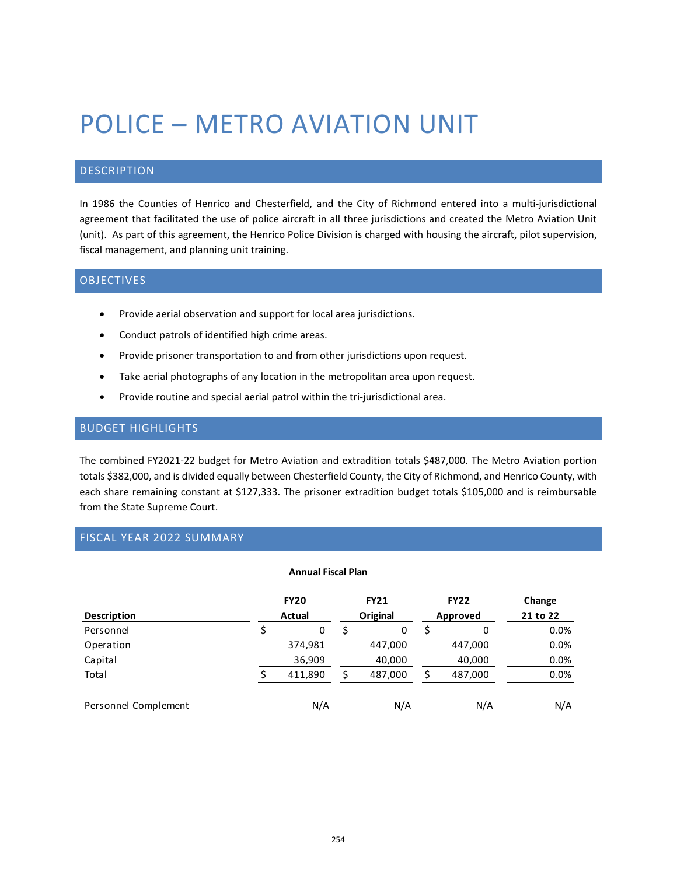# POLICE – METRO AVIATION UNIT

## DESCRIPTION

In 1986 the Counties of Henrico and Chesterfield, and the City of Richmond entered into a multi-jurisdictional agreement that facilitated the use of police aircraft in all three jurisdictions and created the Metro Aviation Unit (unit). As part of this agreement, the Henrico Police Division is charged with housing the aircraft, pilot supervision, fiscal management, and planning unit training.

#### OBJECTIVES

- Provide aerial observation and support for local area jurisdictions.
- Conduct patrols of identified high crime areas.
- Provide prisoner transportation to and from other jurisdictions upon request.
- Take aerial photographs of any location in the metropolitan area upon request.
- Provide routine and special aerial patrol within the tri-jurisdictional area.

#### BUDGET HIGHLIGHTS

The combined FY2021-22 budget for Metro Aviation and extradition totals \$487,000. The Metro Aviation portion totals \$382,000, and is divided equally between Chesterfield County, the City of Richmond, and Henrico County, with each share remaining constant at \$127,333. The prisoner extradition budget totals \$105,000 and is reimbursable from the State Supreme Court.

## FISCAL YEAR 2022 SUMMARY

#### **Annual Fiscal Plan**

|                      | <b>FY20</b> | <b>FY21</b> | <b>FY22</b> | Change   |
|----------------------|-------------|-------------|-------------|----------|
| <b>Description</b>   | Actual      | Original    | Approved    | 21 to 22 |
| Personnel            | 0           | 0           | 0           | $0.0\%$  |
| Operation            | 374,981     | 447,000     | 447,000     | 0.0%     |
| Capital              | 36,909      | 40,000      | 40,000      | 0.0%     |
| Total                | 411,890     | 487,000     | 487,000     | 0.0%     |
| Personnel Complement | N/A         | N/A         | N/A         | N/A      |